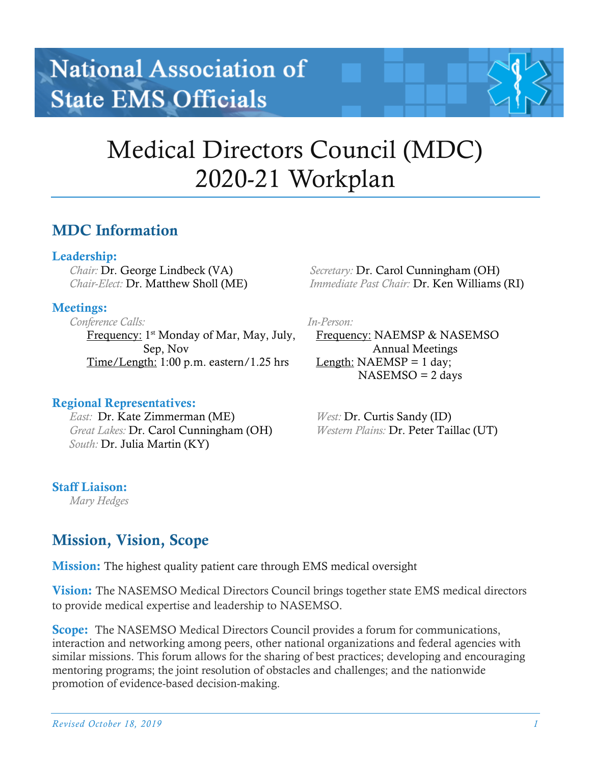# Medical Directors Council (MDC) 2020-21 Workplan

## MDC Information

## Leadership:

*Chair:* Dr. George Lindbeck (VA) *Chair-Elect:* Dr. Matthew Sholl (ME)

## Meetings:

*Conference Calls:* Frequency: 1<sup>st</sup> Monday of Mar, May, July, Sep, Nov Time/Length: 1:00 p.m. eastern/1.25 hrs

## Regional Representatives:

*East:* Dr. Kate Zimmerman (ME) *Great Lakes:* Dr. Carol Cunningham (OH)  *South:* Dr. Julia Martin (KY)

## Staff Liaison:

*Mary Hedges*

# Mission, Vision, Scope

**Mission:** The highest quality patient care through EMS medical oversight

**Vision:** The NASEMSO Medical Directors Council brings together state EMS medical directors to provide medical expertise and leadership to NASEMSO.

**Scope:** The NASEMSO Medical Directors Council provides a forum for communications, interaction and networking among peers, other national organizations and federal agencies with similar missions. This forum allows for the sharing of best practices; developing and encouraging mentoring programs; the joint resolution of obstacles and challenges; and the nationwide promotion of evidence-based decision-making.

 *Secretary:* Dr. Carol Cunningham (OH)  *Immediate Past Chair:* Dr. Ken Williams (RI)

*In-Person:*

Frequency: NAEMSP & NASEMSO Annual Meetings Length:  $NAEMSP = 1$  day;  $NASEMSO = 2$  days

 *West:* Dr. Curtis Sandy (ID)  *Western Plains:* Dr. Peter Taillac (UT)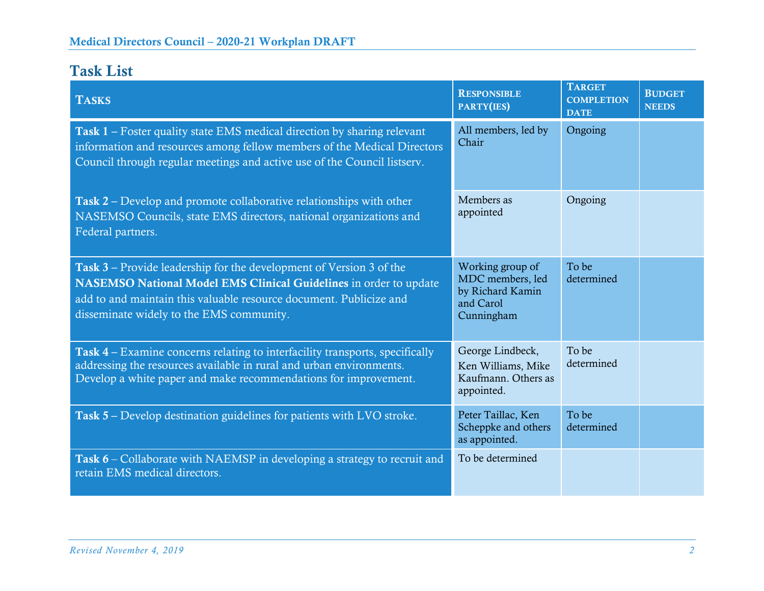# Task List

| <b>TASKS</b>                                                                                                                                                                                                                                               | <b>RESPONSIBLE</b><br>PARTY(IES)                                                    | <b>TARGET</b><br><b>COMPLETION</b><br><b>DATE</b> | <b>BUDGET</b><br><b>NEEDS</b> |
|------------------------------------------------------------------------------------------------------------------------------------------------------------------------------------------------------------------------------------------------------------|-------------------------------------------------------------------------------------|---------------------------------------------------|-------------------------------|
| <b>Task 1</b> – Foster quality state EMS medical direction by sharing relevant<br>information and resources among fellow members of the Medical Directors<br>Council through regular meetings and active use of the Council listserv.                      | All members, led by<br>Chair                                                        | Ongoing                                           |                               |
| Task 2 – Develop and promote collaborative relationships with other<br>NASEMSO Councils, state EMS directors, national organizations and<br>Federal partners.                                                                                              | Members as<br>appointed                                                             | Ongoing                                           |                               |
| Task 3 – Provide leadership for the development of Version 3 of the<br>NASEMSO National Model EMS Clinical Guidelines in order to update<br>add to and maintain this valuable resource document. Publicize and<br>disseminate widely to the EMS community. | Working group of<br>MDC members, led<br>by Richard Kamin<br>and Carol<br>Cunningham | To be<br>determined                               |                               |
| Task 4 – Examine concerns relating to interfacility transports, specifically<br>addressing the resources available in rural and urban environments.<br>Develop a white paper and make recommendations for improvement.                                     | George Lindbeck,<br>Ken Williams, Mike<br>Kaufmann. Others as<br>appointed.         | To be<br>determined                               |                               |
| Task 5 – Develop destination guidelines for patients with LVO stroke.                                                                                                                                                                                      | Peter Taillac, Ken<br>Scheppke and others<br>as appointed.                          | To be<br>determined                               |                               |
| <b>Task 6</b> – Collaborate with NAEMSP in developing a strategy to recruit and<br>retain EMS medical directors.                                                                                                                                           | To be determined                                                                    |                                                   |                               |